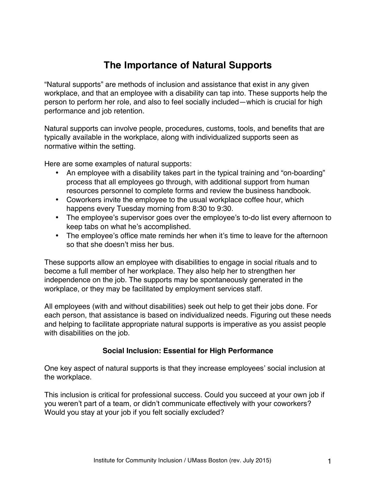# **The Importance of Natural Supports**

"Natural supports" are methods of inclusion and assistance that exist in any given workplace, and that an employee with a disability can tap into. These supports help the person to perform her role, and also to feel socially included—which is crucial for high performance and job retention.

Natural supports can involve people, procedures, customs, tools, and benefits that are typically available in the workplace, along with individualized supports seen as normative within the setting.

Here are some examples of natural supports:

- An employee with a disability takes part in the typical training and "on-boarding" process that all employees go through, with additional support from human resources personnel to complete forms and review the business handbook.
- Coworkers invite the employee to the usual workplace coffee hour, which happens every Tuesday morning from 8:30 to 9:30.
- The employee's supervisor goes over the employee's to-do list every afternoon to keep tabs on what he's accomplished.
- The employee's office mate reminds her when it's time to leave for the afternoon so that she doesn't miss her bus.

These supports allow an employee with disabilities to engage in social rituals and to become a full member of her workplace. They also help her to strengthen her independence on the job. The supports may be spontaneously generated in the workplace, or they may be facilitated by employment services staff.

All employees (with and without disabilities) seek out help to get their jobs done. For each person, that assistance is based on individualized needs. Figuring out these needs and helping to facilitate appropriate natural supports is imperative as you assist people with disabilities on the job.

### **Social Inclusion: Essential for High Performance**

One key aspect of natural supports is that they increase employees' social inclusion at the workplace.

This inclusion is critical for professional success. Could you succeed at your own job if you weren't part of a team, or didn't communicate effectively with your coworkers? Would you stay at your job if you felt socially excluded?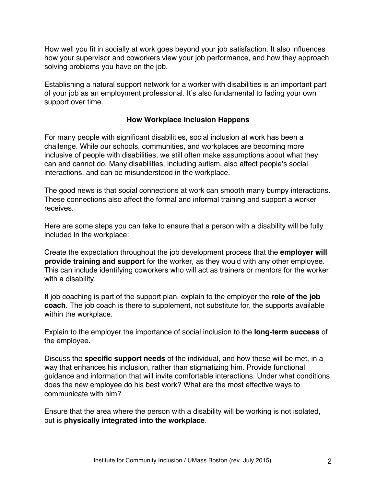How well you fit in socially at work goes beyond your job satisfaction. It also influences how your supervisor and coworkers view your job performance, and how they approach solving problems you have on the job.

Establishing a natural support network for a worker with disabilities is an important part of your job as an employment professional. It's also fundamental to fading your own support over time.

## **How Workplace Inclusion Happens**

For many people with significant disabilities, social inclusion at work has been a challenge. While our schools, communities, and workplaces are becoming more inclusive of people with disabilities, we still often make assumptions about what they can and cannot do. Many disabilities, including autism, also affect people's social interactions, and can be misunderstood in the workplace.

The good news is that social connections at work can smooth many bumpy interactions. These connections also affect the formal and informal training and support a worker receives.

Here are some steps you can take to ensure that a person with a disability will be fully included in the workplace:

Create the expectation throughout the job development process that the **employer will provide training and support** for the worker, as they would with any other employee. This can include identifying coworkers who will act as trainers or mentors for the worker with a disability.

If job coaching is part of the support plan, explain to the employer the **role of the job coach**. The job coach is there to supplement, not substitute for, the supports available within the workplace.

Explain to the employer the importance of social inclusion to the **long-term success** of the employee.

Discuss the **specific support needs** of the individual, and how these will be met, in a way that enhances his inclusion, rather than stigmatizing him. Provide functional guidance and information that will invite comfortable interactions. Under what conditions does the new employee do his best work? What are the most effective ways to communicate with him?

Ensure that the area where the person with a disability will be working is not isolated, but is **physically integrated into the workplace**.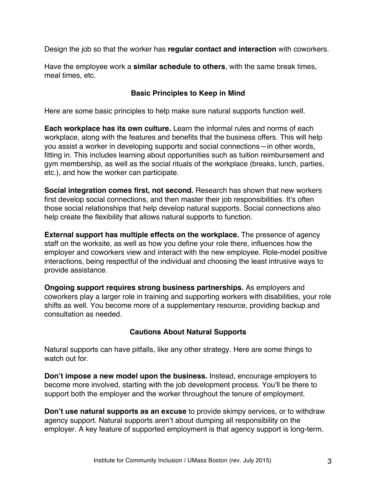Design the job so that the worker has **regular contact and interaction** with coworkers.

Have the employee work a **similar schedule to others**, with the same break times, meal times, etc.

## **Basic Principles to Keep in Mind**

Here are some basic principles to help make sure natural supports function well.

**Each workplace has its own culture.** Learn the informal rules and norms of each workplace, along with the features and benefits that the business offers. This will help you assist a worker in developing supports and social connections—in other words, fitting in. This includes learning about opportunities such as tuition reimbursement and gym membership, as well as the social rituals of the workplace (breaks, lunch, parties, etc.), and how the worker can participate.

**Social integration comes first, not second.** Research has shown that new workers first develop social connections, and then master their job responsibilities. It's often those social relationships that help develop natural supports. Social connections also help create the flexibility that allows natural supports to function.

**External support has multiple effects on the workplace.** The presence of agency staff on the worksite, as well as how you define your role there, influences how the employer and coworkers view and interact with the new employee. Role-model positive interactions, being respectful of the individual and choosing the least intrusive ways to provide assistance.

**Ongoing support requires strong business partnerships.** As employers and coworkers play a larger role in training and supporting workers with disabilities, your role shifts as well. You become more of a supplementary resource, providing backup and consultation as needed.

## **Cautions About Natural Supports**

Natural supports can have pitfalls, like any other strategy. Here are some things to watch out for

**Don't impose a new model upon the business.** Instead, encourage employers to become more involved, starting with the job development process. You'll be there to support both the employer and the worker throughout the tenure of employment.

**Don't use natural supports as an excuse** to provide skimpy services, or to withdraw agency support. Natural supports aren't about dumping all responsibility on the employer. A key feature of supported employment is that agency support is long-term.